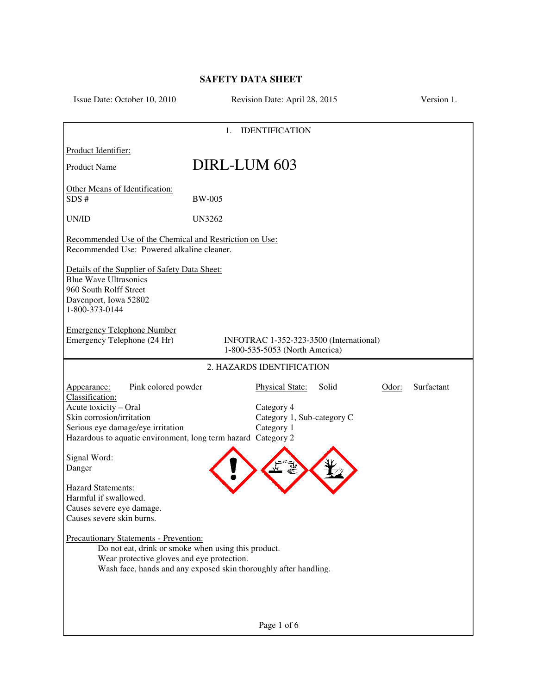## **SAFETY DATA SHEET**

| Issue Date: October 10, 2010                                                                                                                                                                                      | Revision Date: April 28, 2015                                                                                           | Version 1. |  |  |
|-------------------------------------------------------------------------------------------------------------------------------------------------------------------------------------------------------------------|-------------------------------------------------------------------------------------------------------------------------|------------|--|--|
| <b>IDENTIFICATION</b><br>1.                                                                                                                                                                                       |                                                                                                                         |            |  |  |
| Product Identifier:                                                                                                                                                                                               |                                                                                                                         |            |  |  |
| <b>Product Name</b>                                                                                                                                                                                               | DIRL-LUM 603                                                                                                            |            |  |  |
| Other Means of Identification:<br>SDS#                                                                                                                                                                            | <b>BW-005</b>                                                                                                           |            |  |  |
| UN/ID                                                                                                                                                                                                             | <b>UN3262</b>                                                                                                           |            |  |  |
| Recommended Use of the Chemical and Restriction on Use:<br>Recommended Use: Powered alkaline cleaner.                                                                                                             |                                                                                                                         |            |  |  |
| Details of the Supplier of Safety Data Sheet:<br><b>Blue Wave Ultrasonics</b><br>960 South Rolff Street<br>Davenport, Iowa 52802<br>1-800-373-0144                                                                |                                                                                                                         |            |  |  |
| <b>Emergency Telephone Number</b><br>Emergency Telephone (24 Hr)                                                                                                                                                  | INFOTRAC 1-352-323-3500 (International)<br>1-800-535-5053 (North America)                                               |            |  |  |
| 2. HAZARDS IDENTIFICATION                                                                                                                                                                                         |                                                                                                                         |            |  |  |
| Pink colored powder<br>Appearance:<br>Classification:<br>Acute toxicity - Oral<br>Skin corrosion/irritation<br>Serious eye damage/eye irritation<br>Hazardous to aquatic environment, long term hazard Category 2 | <b>Physical State:</b><br>Solid<br>Odor:<br>Category 4<br>Category 1, Sub-category C<br>Category 1                      | Surfactant |  |  |
| Signal Word:<br>Danger                                                                                                                                                                                            |                                                                                                                         |            |  |  |
| <b>Hazard Statements:</b><br>Harmful if swallowed.<br>Causes severe eye damage.<br>Causes severe skin burns.                                                                                                      |                                                                                                                         |            |  |  |
| <b>Precautionary Statements - Prevention:</b><br>Wear protective gloves and eye protection.                                                                                                                       | Do not eat, drink or smoke when using this product.<br>Wash face, hands and any exposed skin thoroughly after handling. |            |  |  |
|                                                                                                                                                                                                                   |                                                                                                                         |            |  |  |
|                                                                                                                                                                                                                   | Page 1 of 6                                                                                                             |            |  |  |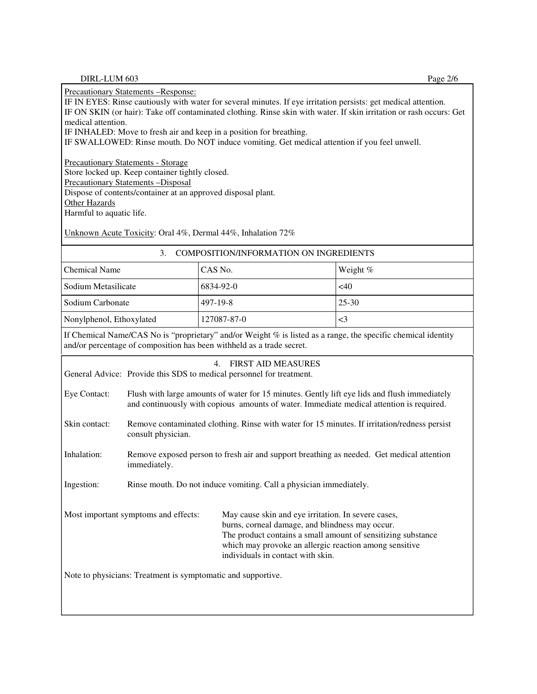Precautionary Statements –Response:

IF IN EYES: Rinse cautiously with water for several minutes. If eye irritation persists: get medical attention. IF ON SKIN (or hair): Take off contaminated clothing. Rinse skin with water. If skin irritation or rash occurs: Get medical attention.

IF INHALED: Move to fresh air and keep in a position for breathing.

IF SWALLOWED: Rinse mouth. Do NOT induce vomiting. Get medical attention if you feel unwell.

Precautionary Statements - Storage

Store locked up. Keep container tightly closed.

Precautionary Statements –Disposal

Dispose of contents/container at an approved disposal plant.

**Other Hazards** 

Harmful to aquatic life.

Unknown Acute Toxicity: Oral 4%, Dermal 44%, Inhalation 72%

| 3.<br><b>COMPOSITION/INFORMATION ON INGREDIENTS</b>                                                                                                                                                                                                                                                           |                                                                                                                                                                                          |           |           |  |
|---------------------------------------------------------------------------------------------------------------------------------------------------------------------------------------------------------------------------------------------------------------------------------------------------------------|------------------------------------------------------------------------------------------------------------------------------------------------------------------------------------------|-----------|-----------|--|
| <b>Chemical Name</b>                                                                                                                                                                                                                                                                                          |                                                                                                                                                                                          | CAS No.   | Weight %  |  |
| Sodium Metasilicate                                                                                                                                                                                                                                                                                           |                                                                                                                                                                                          | 6834-92-0 | <40       |  |
| Sodium Carbonate                                                                                                                                                                                                                                                                                              | 497-19-8                                                                                                                                                                                 |           | $25 - 30$ |  |
| Nonylphenol, Ethoxylated                                                                                                                                                                                                                                                                                      | 127087-87-0                                                                                                                                                                              |           | $\leq$ 3  |  |
| If Chemical Name/CAS No is "proprietary" and/or Weight % is listed as a range, the specific chemical identity<br>and/or percentage of composition has been withheld as a trade secret.                                                                                                                        |                                                                                                                                                                                          |           |           |  |
| <b>FIRST AID MEASURES</b><br>4.<br>General Advice: Provide this SDS to medical personnel for treatment.                                                                                                                                                                                                       |                                                                                                                                                                                          |           |           |  |
| Eye Contact:                                                                                                                                                                                                                                                                                                  | Flush with large amounts of water for 15 minutes. Gently lift eye lids and flush immediately<br>and continuously with copious amounts of water. Immediate medical attention is required. |           |           |  |
| Skin contact:                                                                                                                                                                                                                                                                                                 | Remove contaminated clothing. Rinse with water for 15 minutes. If irritation/redness persist<br>consult physician.                                                                       |           |           |  |
| Inhalation:                                                                                                                                                                                                                                                                                                   | Remove exposed person to fresh air and support breathing as needed. Get medical attention<br>immediately.                                                                                |           |           |  |
| Ingestion:                                                                                                                                                                                                                                                                                                    | Rinse mouth. Do not induce vomiting. Call a physician immediately.                                                                                                                       |           |           |  |
| Most important symptoms and effects:<br>May cause skin and eye irritation. In severe cases,<br>burns, corneal damage, and blindness may occur.<br>The product contains a small amount of sensitizing substance<br>which may provoke an allergic reaction among sensitive<br>individuals in contact with skin. |                                                                                                                                                                                          |           |           |  |
| Note to physicians: Treatment is symptomatic and supportive.                                                                                                                                                                                                                                                  |                                                                                                                                                                                          |           |           |  |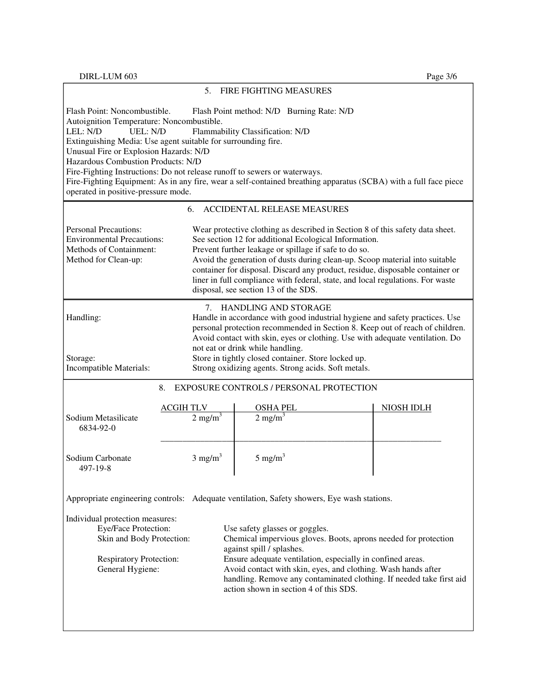|                                                                                                                                                                                                                                                                                                                                                                                                                                                                                                                                                                             | 5.                                                                                                                                                                                                                                                                                                                                                                                                                                                                                        | <b>FIRE FIGHTING MEASURES</b>                                                                                                                                                                                                                                                                                                                                                                                         |                   |  |
|-----------------------------------------------------------------------------------------------------------------------------------------------------------------------------------------------------------------------------------------------------------------------------------------------------------------------------------------------------------------------------------------------------------------------------------------------------------------------------------------------------------------------------------------------------------------------------|-------------------------------------------------------------------------------------------------------------------------------------------------------------------------------------------------------------------------------------------------------------------------------------------------------------------------------------------------------------------------------------------------------------------------------------------------------------------------------------------|-----------------------------------------------------------------------------------------------------------------------------------------------------------------------------------------------------------------------------------------------------------------------------------------------------------------------------------------------------------------------------------------------------------------------|-------------------|--|
| Flash Point: Noncombustible.<br>Flash Point method: N/D Burning Rate: N/D<br>Autoignition Temperature: Noncombustible.<br>LEL: N/D<br>Flammability Classification: N/D<br>UEL: N/D<br>Extinguishing Media: Use agent suitable for surrounding fire.<br>Unusual Fire or Explosion Hazards: N/D<br>Hazardous Combustion Products: N/D<br>Fire-Fighting Instructions: Do not release runoff to sewers or waterways.<br>Fire-Fighting Equipment: As in any fire, wear a self-contained breathing apparatus (SCBA) with a full face piece<br>operated in positive-pressure mode. |                                                                                                                                                                                                                                                                                                                                                                                                                                                                                           |                                                                                                                                                                                                                                                                                                                                                                                                                       |                   |  |
|                                                                                                                                                                                                                                                                                                                                                                                                                                                                                                                                                                             | 6.                                                                                                                                                                                                                                                                                                                                                                                                                                                                                        | <b>ACCIDENTAL RELEASE MEASURES</b>                                                                                                                                                                                                                                                                                                                                                                                    |                   |  |
| <b>Personal Precautions:</b><br><b>Environmental Precautions:</b><br>Methods of Containment:<br>Method for Clean-up:                                                                                                                                                                                                                                                                                                                                                                                                                                                        | Wear protective clothing as described in Section 8 of this safety data sheet.<br>See section 12 for additional Ecological Information.<br>Prevent further leakage or spillage if safe to do so.<br>Avoid the generation of dusts during clean-up. Scoop material into suitable<br>container for disposal. Discard any product, residue, disposable container or<br>liner in full compliance with federal, state, and local regulations. For waste<br>disposal, see section 13 of the SDS. |                                                                                                                                                                                                                                                                                                                                                                                                                       |                   |  |
| Handling:<br>Storage:<br>Incompatible Materials:                                                                                                                                                                                                                                                                                                                                                                                                                                                                                                                            | 7.                                                                                                                                                                                                                                                                                                                                                                                                                                                                                        | HANDLING AND STORAGE<br>Handle in accordance with good industrial hygiene and safety practices. Use<br>personal protection recommended in Section 8. Keep out of reach of children.<br>Avoid contact with skin, eyes or clothing. Use with adequate ventilation. Do<br>not eat or drink while handling.<br>Store in tightly closed container. Store locked up.<br>Strong oxidizing agents. Strong acids. Soft metals. |                   |  |
| EXPOSURE CONTROLS / PERSONAL PROTECTION<br>8.                                                                                                                                                                                                                                                                                                                                                                                                                                                                                                                               |                                                                                                                                                                                                                                                                                                                                                                                                                                                                                           |                                                                                                                                                                                                                                                                                                                                                                                                                       |                   |  |
| Sodium Metasilicate<br>6834-92-0                                                                                                                                                                                                                                                                                                                                                                                                                                                                                                                                            | <b>ACGIH TLV</b><br>$2$ mg/m $^3$                                                                                                                                                                                                                                                                                                                                                                                                                                                         | <b>OSHA PEL</b><br>$2 \text{ mg/m}^3$                                                                                                                                                                                                                                                                                                                                                                                 | <b>NIOSH IDLH</b> |  |
| Sodium Carbonate<br>497-19-8                                                                                                                                                                                                                                                                                                                                                                                                                                                                                                                                                | $3 \text{ mg/m}^3$                                                                                                                                                                                                                                                                                                                                                                                                                                                                        | $5 \text{ mg/m}^3$                                                                                                                                                                                                                                                                                                                                                                                                    |                   |  |
| Appropriate engineering controls: Adequate ventilation, Safety showers, Eye wash stations.                                                                                                                                                                                                                                                                                                                                                                                                                                                                                  |                                                                                                                                                                                                                                                                                                                                                                                                                                                                                           |                                                                                                                                                                                                                                                                                                                                                                                                                       |                   |  |
| Individual protection measures:<br>Eye/Face Protection:<br>Skin and Body Protection:<br><b>Respiratory Protection:</b><br>General Hygiene:                                                                                                                                                                                                                                                                                                                                                                                                                                  |                                                                                                                                                                                                                                                                                                                                                                                                                                                                                           | Use safety glasses or goggles.<br>Chemical impervious gloves. Boots, aprons needed for protection<br>against spill / splashes.<br>Ensure adequate ventilation, especially in confined areas.<br>Avoid contact with skin, eyes, and clothing. Wash hands after<br>handling. Remove any contaminated clothing. If needed take first aid<br>action shown in section 4 of this SDS.                                       |                   |  |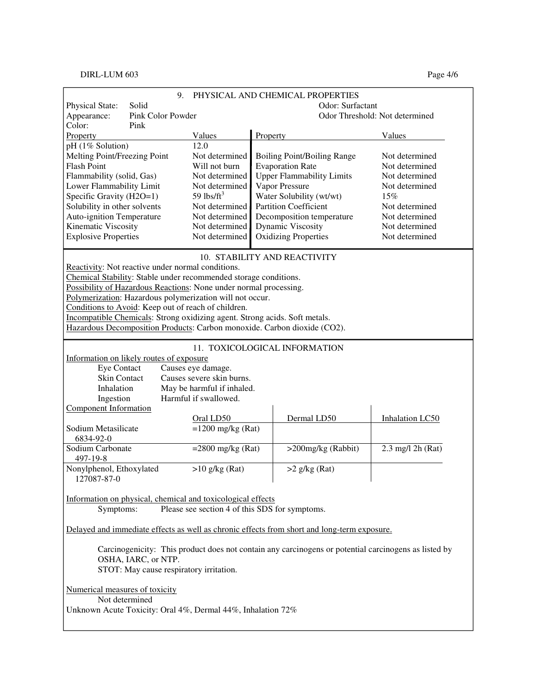## DIRL-LUM 603 Page 4/6

|                                                                                                                            | 9. |                            | PHYSICAL AND CHEMICAL PROPERTIES                                                                     |                                |  |
|----------------------------------------------------------------------------------------------------------------------------|----|----------------------------|------------------------------------------------------------------------------------------------------|--------------------------------|--|
| Solid<br><b>Physical State:</b>                                                                                            |    |                            | Odor: Surfactant                                                                                     |                                |  |
| Pink Color Powder<br>Appearance:                                                                                           |    |                            |                                                                                                      | Odor Threshold: Not determined |  |
| Color:<br>Pink                                                                                                             |    |                            |                                                                                                      |                                |  |
| Property                                                                                                                   |    | Values                     | Property                                                                                             | Values                         |  |
| pH (1% Solution)                                                                                                           |    | 12.0                       |                                                                                                      |                                |  |
| Melting Point/Freezing Point                                                                                               |    | Not determined             | <b>Boiling Point/Boiling Range</b>                                                                   | Not determined                 |  |
| <b>Flash Point</b>                                                                                                         |    |                            | <b>Evaporation Rate</b>                                                                              | Not determined                 |  |
| Flammability (solid, Gas)                                                                                                  |    |                            | <b>Upper Flammability Limits</b>                                                                     | Not determined                 |  |
| Lower Flammability Limit                                                                                                   |    | Not determined             | Vapor Pressure                                                                                       | Not determined                 |  |
| Specific Gravity (H2O=1)                                                                                                   |    | 59 $\frac{1}{5}$           | Water Solubility (wt/wt)                                                                             | 15%                            |  |
| Solubility in other solvents                                                                                               |    | Not determined             | <b>Partition Coefficient</b>                                                                         | Not determined                 |  |
| <b>Auto-ignition Temperature</b>                                                                                           |    | Not determined             | Decomposition temperature                                                                            | Not determined                 |  |
| Kinematic Viscosity                                                                                                        |    | Not determined             | <b>Dynamic Viscosity</b>                                                                             | Not determined                 |  |
| <b>Explosive Properties</b>                                                                                                |    | Not determined             | <b>Oxidizing Properties</b>                                                                          | Not determined                 |  |
|                                                                                                                            |    |                            | 10. STABILITY AND REACTIVITY                                                                         |                                |  |
| Reactivity: Not reactive under normal conditions.                                                                          |    |                            |                                                                                                      |                                |  |
| Chemical Stability: Stable under recommended storage conditions.                                                           |    |                            |                                                                                                      |                                |  |
| Possibility of Hazardous Reactions: None under normal processing.                                                          |    |                            |                                                                                                      |                                |  |
| Polymerization: Hazardous polymerization will not occur.                                                                   |    |                            |                                                                                                      |                                |  |
| Conditions to Avoid: Keep out of reach of children.                                                                        |    |                            |                                                                                                      |                                |  |
| Incompatible Chemicals: Strong oxidizing agent. Strong acids. Soft metals.                                                 |    |                            |                                                                                                      |                                |  |
| Hazardous Decomposition Products: Carbon monoxide. Carbon dioxide (CO2).                                                   |    |                            |                                                                                                      |                                |  |
|                                                                                                                            |    |                            |                                                                                                      |                                |  |
|                                                                                                                            |    |                            | 11. TOXICOLOGICAL INFORMATION                                                                        |                                |  |
| Information on likely routes of exposure                                                                                   |    |                            |                                                                                                      |                                |  |
| <b>Eye Contact</b>                                                                                                         |    | Causes eye damage.         |                                                                                                      |                                |  |
| Skin Contact                                                                                                               |    | Causes severe skin burns.  |                                                                                                      |                                |  |
| Inhalation                                                                                                                 |    | May be harmful if inhaled. |                                                                                                      |                                |  |
| Ingestion                                                                                                                  |    | Harmful if swallowed.      |                                                                                                      |                                |  |
| <b>Component Information</b>                                                                                               |    |                            |                                                                                                      |                                |  |
|                                                                                                                            |    | Oral LD50                  | Dermal LD50                                                                                          | Inhalation LC50                |  |
| Sodium Metasilicate                                                                                                        |    | $=1200$ mg/kg (Rat)        |                                                                                                      |                                |  |
| 6834-92-0                                                                                                                  |    |                            |                                                                                                      |                                |  |
| Sodium Carbonate                                                                                                           |    | $=2800$ mg/kg (Rat)        | >200mg/kg (Rabbit)                                                                                   | 2.3 mg/l 2h (Rat)              |  |
| 497-19-8                                                                                                                   |    |                            |                                                                                                      |                                |  |
| Nonylphenol, Ethoxylated                                                                                                   |    | $>10$ g/kg (Rat)           | $>2$ g/kg (Rat)                                                                                      |                                |  |
| 127087-87-0                                                                                                                |    |                            |                                                                                                      |                                |  |
|                                                                                                                            |    |                            |                                                                                                      |                                |  |
| Information on physical, chemical and toxicological effects<br>Symptoms:<br>Please see section 4 of this SDS for symptoms. |    |                            |                                                                                                      |                                |  |
|                                                                                                                            |    |                            |                                                                                                      |                                |  |
| Delayed and immediate effects as well as chronic effects from short and long-term exposure.                                |    |                            |                                                                                                      |                                |  |
|                                                                                                                            |    |                            |                                                                                                      |                                |  |
|                                                                                                                            |    |                            | Carcinogenicity: This product does not contain any carcinogens or potential carcinogens as listed by |                                |  |
| OSHA, IARC, or NTP.                                                                                                        |    |                            |                                                                                                      |                                |  |
| STOT: May cause respiratory irritation.                                                                                    |    |                            |                                                                                                      |                                |  |
| Numerical measures of toxicity                                                                                             |    |                            |                                                                                                      |                                |  |
| Not determined                                                                                                             |    |                            |                                                                                                      |                                |  |
| Unknown Acute Toxicity: Oral 4%, Dermal 44%, Inhalation 72%                                                                |    |                            |                                                                                                      |                                |  |
|                                                                                                                            |    |                            |                                                                                                      |                                |  |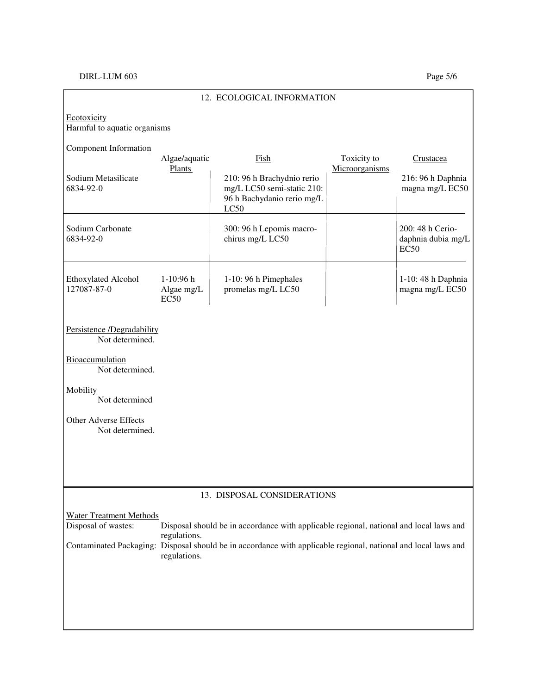## DIRL-LUM 603 Page 5/6

| 12. ECOLOGICAL INFORMATION                    |                                                                                                                                |                                                                                                |                |                                                |
|-----------------------------------------------|--------------------------------------------------------------------------------------------------------------------------------|------------------------------------------------------------------------------------------------|----------------|------------------------------------------------|
| Ecotoxicity<br>Harmful to aquatic organisms   |                                                                                                                                |                                                                                                |                |                                                |
| <b>Component Information</b>                  | Algae/aquatic                                                                                                                  | Fish                                                                                           | Toxicity to    | Crustacea                                      |
| Sodium Metasilicate<br>6834-92-0              | <b>Plants</b>                                                                                                                  | 210: 96 h Brachydnio rerio<br>mg/L LC50 semi-static 210:<br>96 h Bachydanio rerio mg/L<br>LC50 | Microorganisms | 216: 96 h Daphnia<br>magna mg/L EC50           |
| Sodium Carbonate<br>6834-92-0                 |                                                                                                                                | 300: 96 h Lepomis macro-<br>chirus mg/L LC50                                                   |                | 200: 48 h Cerio-<br>daphnia dubia mg/L<br>EC50 |
| <b>Ethoxylated Alcohol</b><br>127087-87-0     | 1-10:96 h<br>Algae mg/L<br><b>EC50</b>                                                                                         | 1-10: 96 h Pimephales<br>promelas mg/L LC50                                                    |                | 1-10: 48 h Daphnia<br>magna mg/L EC50          |
| Persistence /Degradability<br>Not determined. |                                                                                                                                |                                                                                                |                |                                                |
| Bioaccumulation<br>Not determined.            |                                                                                                                                |                                                                                                |                |                                                |
| <b>Mobility</b><br>Not determined             |                                                                                                                                |                                                                                                |                |                                                |
| Other Adverse Effects<br>Not determined.      |                                                                                                                                |                                                                                                |                |                                                |
|                                               |                                                                                                                                |                                                                                                |                |                                                |
|                                               |                                                                                                                                |                                                                                                |                |                                                |
| 13. DISPOSAL CONSIDERATIONS                   |                                                                                                                                |                                                                                                |                |                                                |
| <b>Water Treatment Methods</b>                |                                                                                                                                |                                                                                                |                |                                                |
| Disposal of wastes:                           | regulations.                                                                                                                   | Disposal should be in accordance with applicable regional, national and local laws and         |                |                                                |
|                                               | Contaminated Packaging: Disposal should be in accordance with applicable regional, national and local laws and<br>regulations. |                                                                                                |                |                                                |
|                                               |                                                                                                                                |                                                                                                |                |                                                |
|                                               |                                                                                                                                |                                                                                                |                |                                                |
|                                               |                                                                                                                                |                                                                                                |                |                                                |